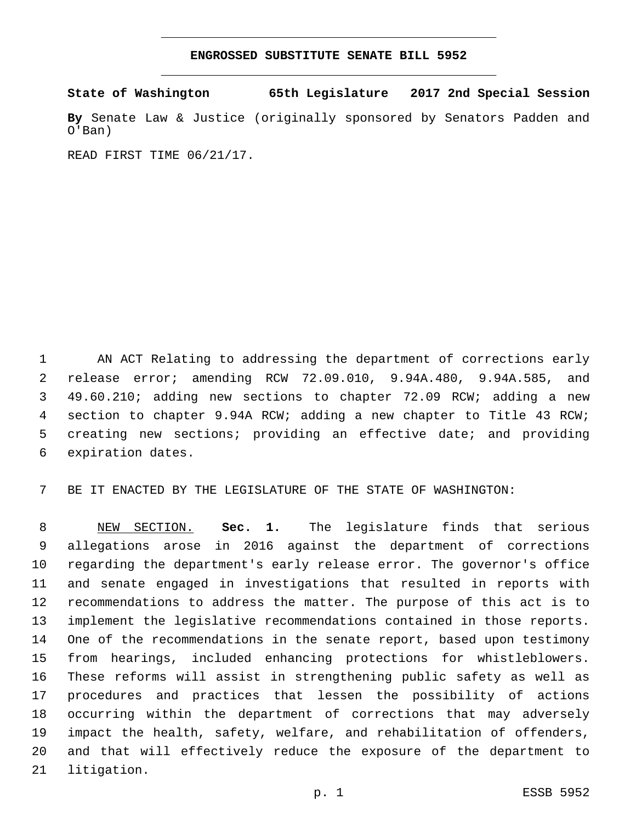#### **ENGROSSED SUBSTITUTE SENATE BILL 5952**

**State of Washington 65th Legislature 2017 2nd Special Session**

**By** Senate Law & Justice (originally sponsored by Senators Padden and O'Ban)

READ FIRST TIME 06/21/17.

 AN ACT Relating to addressing the department of corrections early release error; amending RCW 72.09.010, 9.94A.480, 9.94A.585, and 49.60.210; adding new sections to chapter 72.09 RCW; adding a new section to chapter 9.94A RCW; adding a new chapter to Title 43 RCW; creating new sections; providing an effective date; and providing 6 expiration dates.

BE IT ENACTED BY THE LEGISLATURE OF THE STATE OF WASHINGTON:

 NEW SECTION. **Sec. 1.** The legislature finds that serious allegations arose in 2016 against the department of corrections regarding the department's early release error. The governor's office and senate engaged in investigations that resulted in reports with recommendations to address the matter. The purpose of this act is to implement the legislative recommendations contained in those reports. One of the recommendations in the senate report, based upon testimony from hearings, included enhancing protections for whistleblowers. These reforms will assist in strengthening public safety as well as procedures and practices that lessen the possibility of actions occurring within the department of corrections that may adversely impact the health, safety, welfare, and rehabilitation of offenders, and that will effectively reduce the exposure of the department to 21 litigation.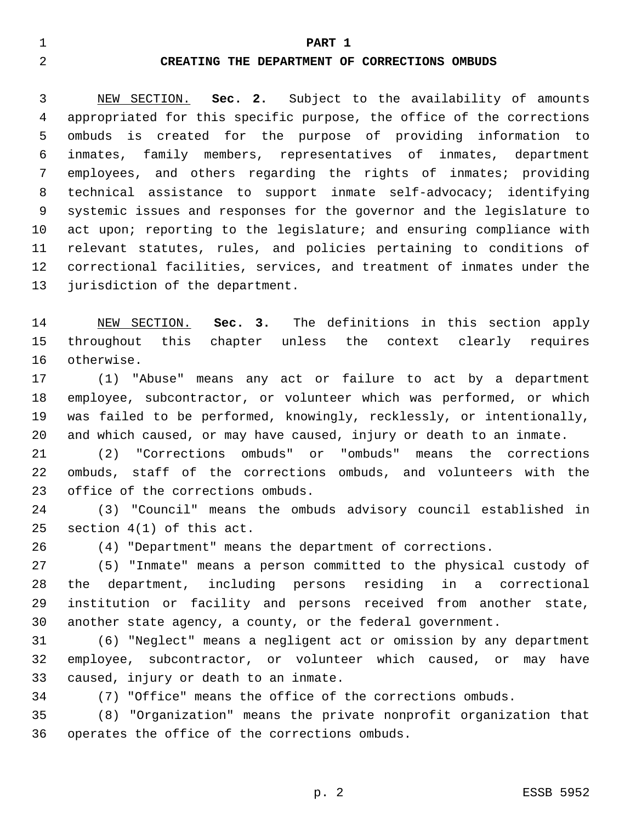#### **PART 1**

#### **CREATING THE DEPARTMENT OF CORRECTIONS OMBUDS**

 NEW SECTION. **Sec. 2.** Subject to the availability of amounts appropriated for this specific purpose, the office of the corrections ombuds is created for the purpose of providing information to inmates, family members, representatives of inmates, department employees, and others regarding the rights of inmates; providing technical assistance to support inmate self-advocacy; identifying systemic issues and responses for the governor and the legislature to 10 act upon; reporting to the legislature; and ensuring compliance with relevant statutes, rules, and policies pertaining to conditions of correctional facilities, services, and treatment of inmates under the jurisdiction of the department.

 NEW SECTION. **Sec. 3.** The definitions in this section apply throughout this chapter unless the context clearly requires otherwise.

 (1) "Abuse" means any act or failure to act by a department employee, subcontractor, or volunteer which was performed, or which was failed to be performed, knowingly, recklessly, or intentionally, and which caused, or may have caused, injury or death to an inmate.

 (2) "Corrections ombuds" or "ombuds" means the corrections ombuds, staff of the corrections ombuds, and volunteers with the 23 office of the corrections ombuds.

 (3) "Council" means the ombuds advisory council established in 25 section  $4(1)$  of this act.

(4) "Department" means the department of corrections.

 (5) "Inmate" means a person committed to the physical custody of the department, including persons residing in a correctional institution or facility and persons received from another state, another state agency, a county, or the federal government.

 (6) "Neglect" means a negligent act or omission by any department employee, subcontractor, or volunteer which caused, or may have 33 caused, injury or death to an inmate.

(7) "Office" means the office of the corrections ombuds.

 (8) "Organization" means the private nonprofit organization that 36 operates the office of the corrections ombuds.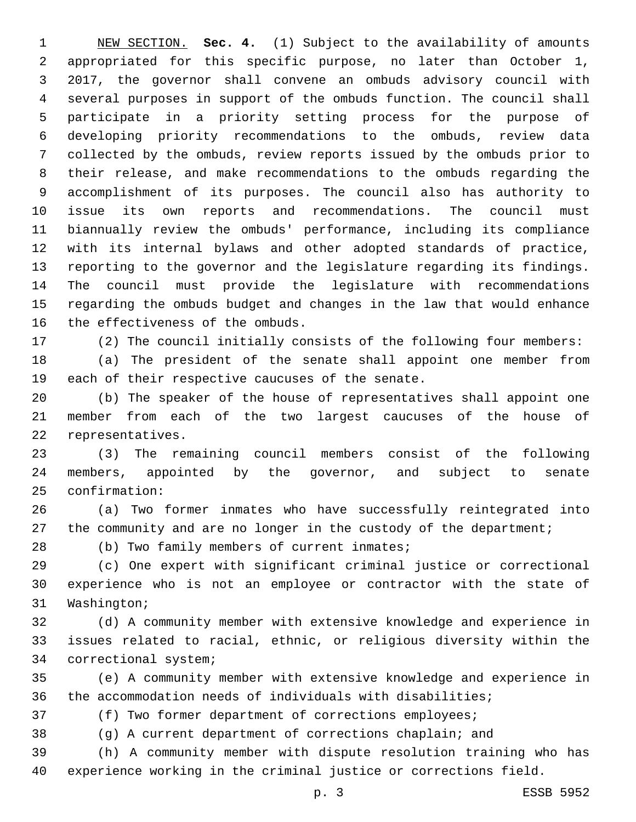NEW SECTION. **Sec. 4.** (1) Subject to the availability of amounts appropriated for this specific purpose, no later than October 1, 2017, the governor shall convene an ombuds advisory council with several purposes in support of the ombuds function. The council shall participate in a priority setting process for the purpose of developing priority recommendations to the ombuds, review data collected by the ombuds, review reports issued by the ombuds prior to their release, and make recommendations to the ombuds regarding the accomplishment of its purposes. The council also has authority to issue its own reports and recommendations. The council must biannually review the ombuds' performance, including its compliance with its internal bylaws and other adopted standards of practice, reporting to the governor and the legislature regarding its findings. The council must provide the legislature with recommendations regarding the ombuds budget and changes in the law that would enhance 16 the effectiveness of the ombuds.

(2) The council initially consists of the following four members:

 (a) The president of the senate shall appoint one member from 19 each of their respective caucuses of the senate.

 (b) The speaker of the house of representatives shall appoint one member from each of the two largest caucuses of the house of 22 representatives.

 (3) The remaining council members consist of the following members, appointed by the governor, and subject to senate confirmation:25

 (a) Two former inmates who have successfully reintegrated into 27 the community and are no longer in the custody of the department;

28 (b) Two family members of current inmates;

 (c) One expert with significant criminal justice or correctional experience who is not an employee or contractor with the state of 31 Washington;

 (d) A community member with extensive knowledge and experience in issues related to racial, ethnic, or religious diversity within the 34 correctional system;

 (e) A community member with extensive knowledge and experience in the accommodation needs of individuals with disabilities;

(f) Two former department of corrections employees;

(g) A current department of corrections chaplain; and

 (h) A community member with dispute resolution training who has experience working in the criminal justice or corrections field.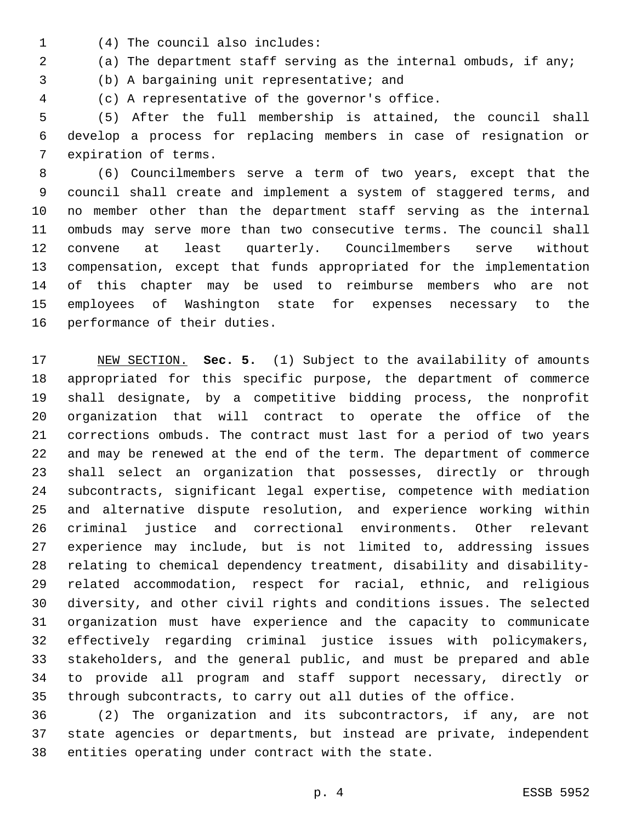- (4) The council also includes:1
- (a) The department staff serving as the internal ombuds, if any;

3 (b) A bargaining unit representative; and

(c) A representative of the governor's office.4

 (5) After the full membership is attained, the council shall develop a process for replacing members in case of resignation or 7 expiration of terms.

 (6) Councilmembers serve a term of two years, except that the council shall create and implement a system of staggered terms, and no member other than the department staff serving as the internal ombuds may serve more than two consecutive terms. The council shall convene at least quarterly. Councilmembers serve without compensation, except that funds appropriated for the implementation of this chapter may be used to reimburse members who are not employees of Washington state for expenses necessary to the 16 performance of their duties.

 NEW SECTION. **Sec. 5.** (1) Subject to the availability of amounts appropriated for this specific purpose, the department of commerce shall designate, by a competitive bidding process, the nonprofit organization that will contract to operate the office of the corrections ombuds. The contract must last for a period of two years and may be renewed at the end of the term. The department of commerce shall select an organization that possesses, directly or through subcontracts, significant legal expertise, competence with mediation and alternative dispute resolution, and experience working within criminal justice and correctional environments. Other relevant experience may include, but is not limited to, addressing issues relating to chemical dependency treatment, disability and disability- related accommodation, respect for racial, ethnic, and religious diversity, and other civil rights and conditions issues. The selected organization must have experience and the capacity to communicate effectively regarding criminal justice issues with policymakers, stakeholders, and the general public, and must be prepared and able to provide all program and staff support necessary, directly or through subcontracts, to carry out all duties of the office.

 (2) The organization and its subcontractors, if any, are not state agencies or departments, but instead are private, independent 38 entities operating under contract with the state.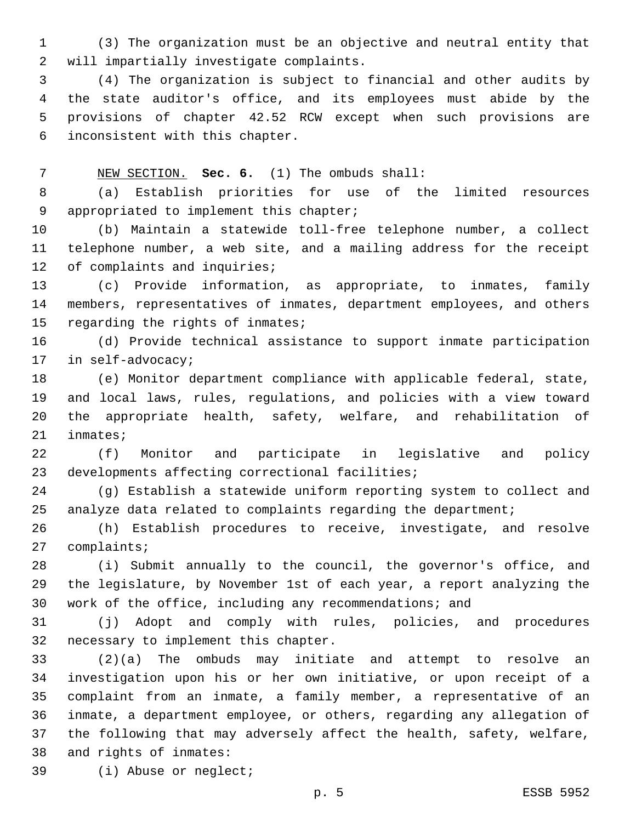(3) The organization must be an objective and neutral entity that 2 will impartially investigate complaints.

 (4) The organization is subject to financial and other audits by the state auditor's office, and its employees must abide by the provisions of chapter 42.52 RCW except when such provisions are inconsistent with this chapter.6

NEW SECTION. **Sec. 6.** (1) The ombuds shall:

 (a) Establish priorities for use of the limited resources 9 appropriated to implement this chapter;

 (b) Maintain a statewide toll-free telephone number, a collect telephone number, a web site, and a mailing address for the receipt 12 of complaints and inquiries;

 (c) Provide information, as appropriate, to inmates, family members, representatives of inmates, department employees, and others 15 regarding the rights of inmates;

 (d) Provide technical assistance to support inmate participation 17 in self-advocacy;

 (e) Monitor department compliance with applicable federal, state, and local laws, rules, regulations, and policies with a view toward the appropriate health, safety, welfare, and rehabilitation of 21 inmates;

 (f) Monitor and participate in legislative and policy 23 developments affecting correctional facilities;

 (g) Establish a statewide uniform reporting system to collect and analyze data related to complaints regarding the department;

 (h) Establish procedures to receive, investigate, and resolve 27 complaints;

 (i) Submit annually to the council, the governor's office, and the legislature, by November 1st of each year, a report analyzing the work of the office, including any recommendations; and

 (j) Adopt and comply with rules, policies, and procedures 32 necessary to implement this chapter.

 (2)(a) The ombuds may initiate and attempt to resolve an investigation upon his or her own initiative, or upon receipt of a complaint from an inmate, a family member, a representative of an inmate, a department employee, or others, regarding any allegation of the following that may adversely affect the health, safety, welfare, 38 and rights of inmates:

39 (i) Abuse or neglect;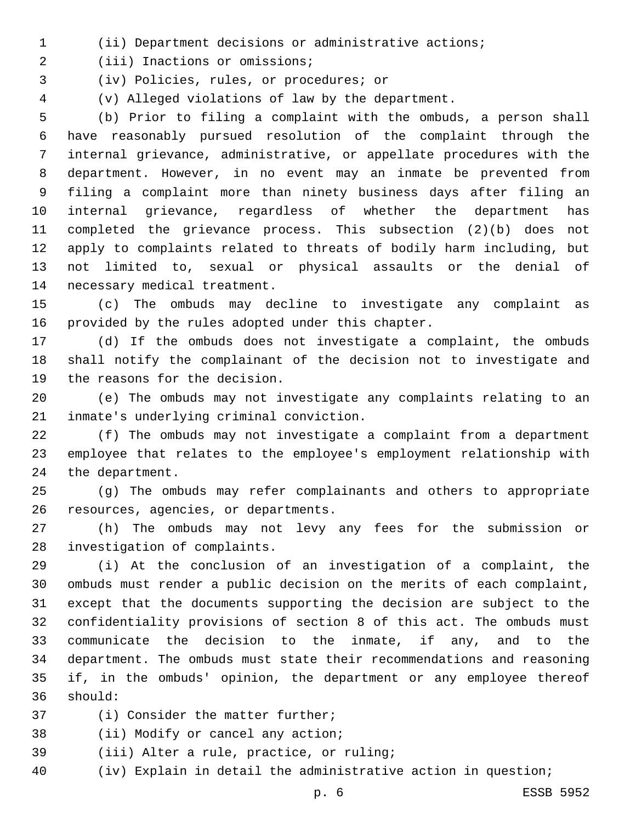(ii) Department decisions or administrative actions;

2 (iii) Inactions or omissions;

(iv) Policies, rules, or procedures; or3

(v) Alleged violations of law by the department.

 (b) Prior to filing a complaint with the ombuds, a person shall have reasonably pursued resolution of the complaint through the internal grievance, administrative, or appellate procedures with the department. However, in no event may an inmate be prevented from filing a complaint more than ninety business days after filing an internal grievance, regardless of whether the department has completed the grievance process. This subsection (2)(b) does not apply to complaints related to threats of bodily harm including, but not limited to, sexual or physical assaults or the denial of 14 necessary medical treatment.

 (c) The ombuds may decline to investigate any complaint as 16 provided by the rules adopted under this chapter.

 (d) If the ombuds does not investigate a complaint, the ombuds shall notify the complainant of the decision not to investigate and 19 the reasons for the decision.

 (e) The ombuds may not investigate any complaints relating to an 21 inmate's underlying criminal conviction.

 (f) The ombuds may not investigate a complaint from a department employee that relates to the employee's employment relationship with 24 the department.

 (g) The ombuds may refer complainants and others to appropriate 26 resources, agencies, or departments.

 (h) The ombuds may not levy any fees for the submission or 28 investigation of complaints.

 (i) At the conclusion of an investigation of a complaint, the ombuds must render a public decision on the merits of each complaint, except that the documents supporting the decision are subject to the confidentiality provisions of section 8 of this act. The ombuds must communicate the decision to the inmate, if any, and to the department. The ombuds must state their recommendations and reasoning if, in the ombuds' opinion, the department or any employee thereof should:36

37 (i) Consider the matter further;

38 (ii) Modify or cancel any action;

- 39 (iii) Alter a rule, practice, or ruling;
- (iv) Explain in detail the administrative action in question;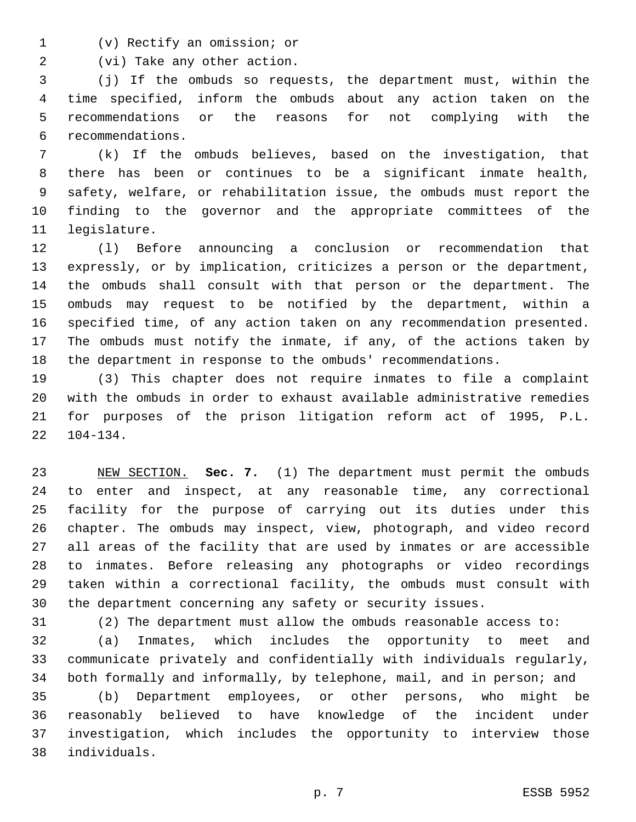(v) Rectify an omission; or1

2 (vi) Take any other action.

 (j) If the ombuds so requests, the department must, within the time specified, inform the ombuds about any action taken on the recommendations or the reasons for not complying with the recommendations.6

 (k) If the ombuds believes, based on the investigation, that there has been or continues to be a significant inmate health, safety, welfare, or rehabilitation issue, the ombuds must report the finding to the governor and the appropriate committees of the 11 legislature.

 (l) Before announcing a conclusion or recommendation that expressly, or by implication, criticizes a person or the department, the ombuds shall consult with that person or the department. The ombuds may request to be notified by the department, within a specified time, of any action taken on any recommendation presented. The ombuds must notify the inmate, if any, of the actions taken by the department in response to the ombuds' recommendations.

 (3) This chapter does not require inmates to file a complaint with the ombuds in order to exhaust available administrative remedies for purposes of the prison litigation reform act of 1995, P.L.  $22 \quad 104-134$ .

 NEW SECTION. **Sec. 7.** (1) The department must permit the ombuds to enter and inspect, at any reasonable time, any correctional facility for the purpose of carrying out its duties under this chapter. The ombuds may inspect, view, photograph, and video record all areas of the facility that are used by inmates or are accessible to inmates. Before releasing any photographs or video recordings taken within a correctional facility, the ombuds must consult with the department concerning any safety or security issues.

(2) The department must allow the ombuds reasonable access to:

 (a) Inmates, which includes the opportunity to meet and communicate privately and confidentially with individuals regularly, both formally and informally, by telephone, mail, and in person; and

 (b) Department employees, or other persons, who might be reasonably believed to have knowledge of the incident under investigation, which includes the opportunity to interview those individuals.38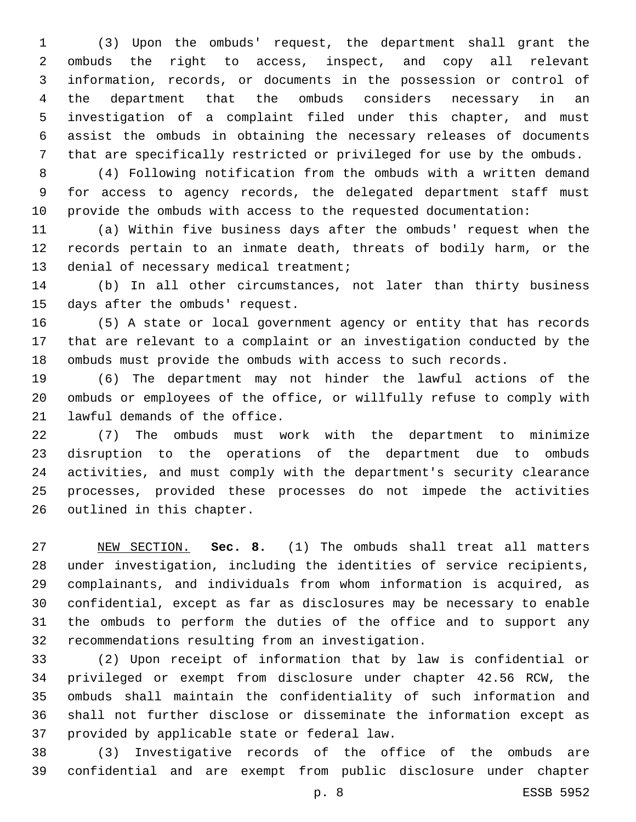(3) Upon the ombuds' request, the department shall grant the ombuds the right to access, inspect, and copy all relevant information, records, or documents in the possession or control of the department that the ombuds considers necessary in an investigation of a complaint filed under this chapter, and must assist the ombuds in obtaining the necessary releases of documents that are specifically restricted or privileged for use by the ombuds.

 (4) Following notification from the ombuds with a written demand for access to agency records, the delegated department staff must provide the ombuds with access to the requested documentation:

 (a) Within five business days after the ombuds' request when the records pertain to an inmate death, threats of bodily harm, or the 13 denial of necessary medical treatment;

 (b) In all other circumstances, not later than thirty business 15 days after the ombuds' request.

 (5) A state or local government agency or entity that has records that are relevant to a complaint or an investigation conducted by the ombuds must provide the ombuds with access to such records.

 (6) The department may not hinder the lawful actions of the ombuds or employees of the office, or willfully refuse to comply with 21 lawful demands of the office.

 (7) The ombuds must work with the department to minimize disruption to the operations of the department due to ombuds activities, and must comply with the department's security clearance processes, provided these processes do not impede the activities 26 outlined in this chapter.

 NEW SECTION. **Sec. 8.** (1) The ombuds shall treat all matters under investigation, including the identities of service recipients, complainants, and individuals from whom information is acquired, as confidential, except as far as disclosures may be necessary to enable the ombuds to perform the duties of the office and to support any recommendations resulting from an investigation.

 (2) Upon receipt of information that by law is confidential or privileged or exempt from disclosure under chapter 42.56 RCW, the ombuds shall maintain the confidentiality of such information and shall not further disclose or disseminate the information except as 37 provided by applicable state or federal law.

 (3) Investigative records of the office of the ombuds are confidential and are exempt from public disclosure under chapter

p. 8 ESSB 5952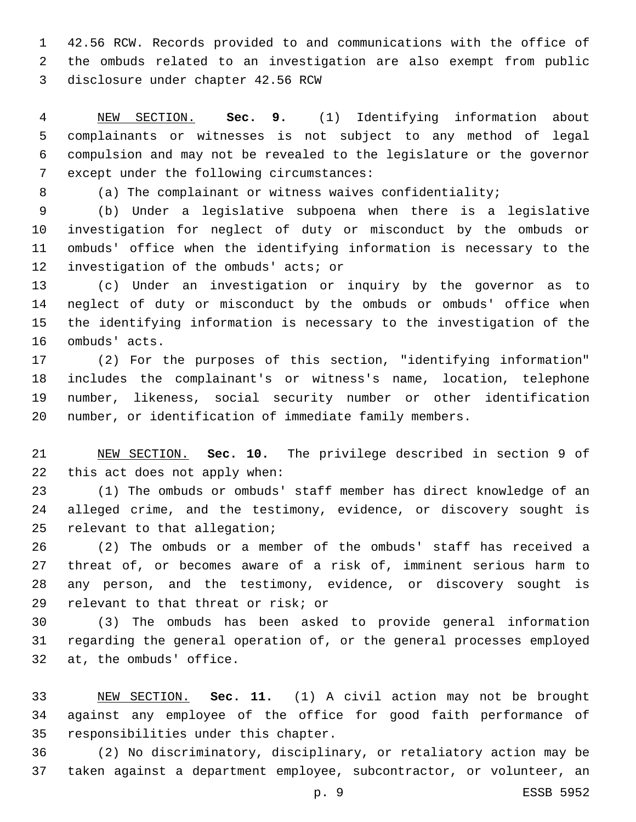42.56 RCW. Records provided to and communications with the office of the ombuds related to an investigation are also exempt from public disclosure under chapter 42.56 RCW

 NEW SECTION. **Sec. 9.** (1) Identifying information about complainants or witnesses is not subject to any method of legal compulsion and may not be revealed to the legislature or the governor except under the following circumstances:

8 (a) The complainant or witness waives confidentiality;

 (b) Under a legislative subpoena when there is a legislative investigation for neglect of duty or misconduct by the ombuds or ombuds' office when the identifying information is necessary to the 12 investigation of the ombuds' acts; or

 (c) Under an investigation or inquiry by the governor as to neglect of duty or misconduct by the ombuds or ombuds' office when the identifying information is necessary to the investigation of the 16 ombuds' acts.

 (2) For the purposes of this section, "identifying information" includes the complainant's or witness's name, location, telephone number, likeness, social security number or other identification number, or identification of immediate family members.

 NEW SECTION. **Sec. 10.** The privilege described in section 9 of this act does not apply when:

 (1) The ombuds or ombuds' staff member has direct knowledge of an alleged crime, and the testimony, evidence, or discovery sought is 25 relevant to that allegation;

 (2) The ombuds or a member of the ombuds' staff has received a threat of, or becomes aware of a risk of, imminent serious harm to any person, and the testimony, evidence, or discovery sought is 29 relevant to that threat or risk; or

 (3) The ombuds has been asked to provide general information regarding the general operation of, or the general processes employed 32 at, the ombuds' office.

 NEW SECTION. **Sec. 11.** (1) A civil action may not be brought against any employee of the office for good faith performance of responsibilities under this chapter.

 (2) No discriminatory, disciplinary, or retaliatory action may be taken against a department employee, subcontractor, or volunteer, an

p. 9 ESSB 5952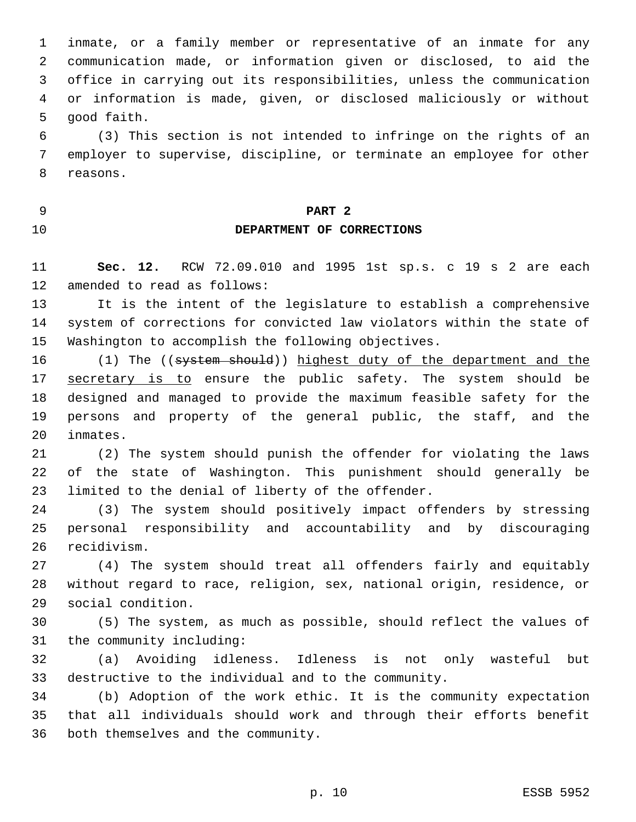inmate, or a family member or representative of an inmate for any communication made, or information given or disclosed, to aid the office in carrying out its responsibilities, unless the communication or information is made, given, or disclosed maliciously or without 5 good faith.

 (3) This section is not intended to infringe on the rights of an employer to supervise, discipline, or terminate an employee for other 8 reasons.

# **PART 2**

## **DEPARTMENT OF CORRECTIONS**

 **Sec. 12.** RCW 72.09.010 and 1995 1st sp.s. c 19 s 2 are each 12 amended to read as follows:

 It is the intent of the legislature to establish a comprehensive system of corrections for convicted law violators within the state of Washington to accomplish the following objectives.

 (1) The ((system should)) highest duty of the department and the 17 secretary is to ensure the public safety. The system should be designed and managed to provide the maximum feasible safety for the persons and property of the general public, the staff, and the 20 inmates.

 (2) The system should punish the offender for violating the laws of the state of Washington. This punishment should generally be 23 limited to the denial of liberty of the offender.

 (3) The system should positively impact offenders by stressing personal responsibility and accountability and by discouraging 26 recidivism.

 (4) The system should treat all offenders fairly and equitably without regard to race, religion, sex, national origin, residence, or social condition.29

 (5) The system, as much as possible, should reflect the values of 31 the community including:

 (a) Avoiding idleness. Idleness is not only wasteful but destructive to the individual and to the community.

 (b) Adoption of the work ethic. It is the community expectation that all individuals should work and through their efforts benefit 36 both themselves and the community.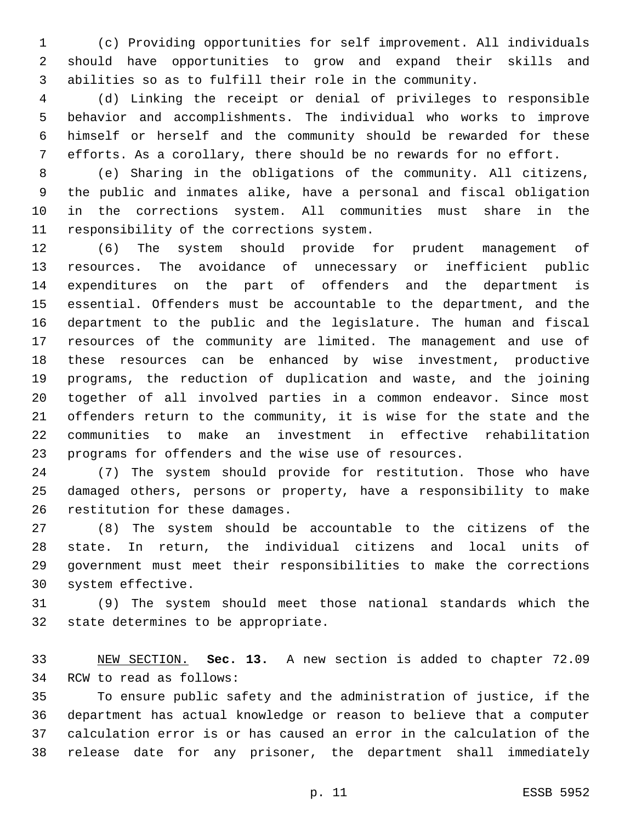(c) Providing opportunities for self improvement. All individuals should have opportunities to grow and expand their skills and abilities so as to fulfill their role in the community.

 (d) Linking the receipt or denial of privileges to responsible behavior and accomplishments. The individual who works to improve himself or herself and the community should be rewarded for these efforts. As a corollary, there should be no rewards for no effort.

 (e) Sharing in the obligations of the community. All citizens, the public and inmates alike, have a personal and fiscal obligation in the corrections system. All communities must share in the 11 responsibility of the corrections system.

 (6) The system should provide for prudent management of resources. The avoidance of unnecessary or inefficient public expenditures on the part of offenders and the department is essential. Offenders must be accountable to the department, and the department to the public and the legislature. The human and fiscal resources of the community are limited. The management and use of these resources can be enhanced by wise investment, productive programs, the reduction of duplication and waste, and the joining together of all involved parties in a common endeavor. Since most offenders return to the community, it is wise for the state and the communities to make an investment in effective rehabilitation programs for offenders and the wise use of resources.

 (7) The system should provide for restitution. Those who have damaged others, persons or property, have a responsibility to make 26 restitution for these damages.

 (8) The system should be accountable to the citizens of the state. In return, the individual citizens and local units of government must meet their responsibilities to make the corrections 30 system effective.

 (9) The system should meet those national standards which the 32 state determines to be appropriate.

 NEW SECTION. **Sec. 13.** A new section is added to chapter 72.09 34 RCW to read as follows:

 To ensure public safety and the administration of justice, if the department has actual knowledge or reason to believe that a computer calculation error is or has caused an error in the calculation of the release date for any prisoner, the department shall immediately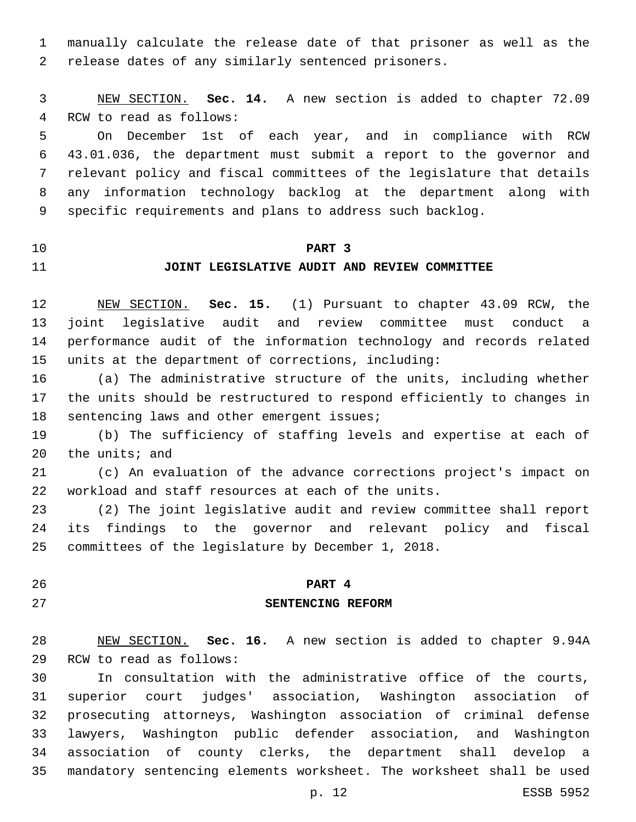manually calculate the release date of that prisoner as well as the release dates of any similarly sentenced prisoners.

 NEW SECTION. **Sec. 14.** A new section is added to chapter 72.09 4 RCW to read as follows:

 On December 1st of each year, and in compliance with RCW 43.01.036, the department must submit a report to the governor and relevant policy and fiscal committees of the legislature that details any information technology backlog at the department along with specific requirements and plans to address such backlog.

#### **PART 3**

### **JOINT LEGISLATIVE AUDIT AND REVIEW COMMITTEE**

 NEW SECTION. **Sec. 15.** (1) Pursuant to chapter 43.09 RCW, the joint legislative audit and review committee must conduct a performance audit of the information technology and records related units at the department of corrections, including:

 (a) The administrative structure of the units, including whether the units should be restructured to respond efficiently to changes in 18 sentencing laws and other emergent issues;

 (b) The sufficiency of staffing levels and expertise at each of the units; and

 (c) An evaluation of the advance corrections project's impact on workload and staff resources at each of the units.

 (2) The joint legislative audit and review committee shall report its findings to the governor and relevant policy and fiscal committees of the legislature by December 1, 2018.

## **PART 4 SENTENCING REFORM**

## NEW SECTION. **Sec. 16.** A new section is added to chapter 9.94A 29 RCW to read as follows:

 In consultation with the administrative office of the courts, superior court judges' association, Washington association of prosecuting attorneys, Washington association of criminal defense lawyers, Washington public defender association, and Washington association of county clerks, the department shall develop a mandatory sentencing elements worksheet. The worksheet shall be used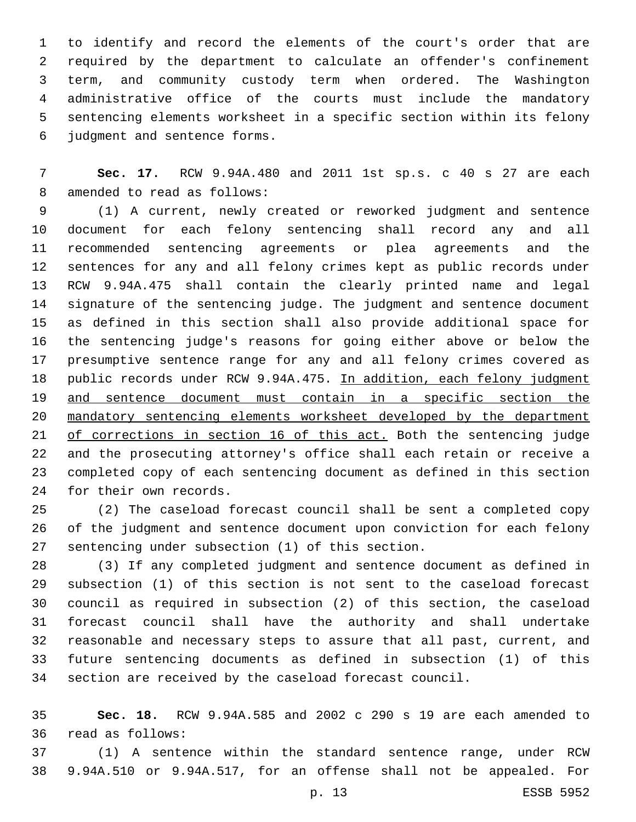to identify and record the elements of the court's order that are required by the department to calculate an offender's confinement term, and community custody term when ordered. The Washington administrative office of the courts must include the mandatory sentencing elements worksheet in a specific section within its felony judgment and sentence forms.6

 **Sec. 17.** RCW 9.94A.480 and 2011 1st sp.s. c 40 s 27 are each 8 amended to read as follows:

 (1) A current, newly created or reworked judgment and sentence document for each felony sentencing shall record any and all recommended sentencing agreements or plea agreements and the sentences for any and all felony crimes kept as public records under RCW 9.94A.475 shall contain the clearly printed name and legal signature of the sentencing judge. The judgment and sentence document as defined in this section shall also provide additional space for the sentencing judge's reasons for going either above or below the presumptive sentence range for any and all felony crimes covered as 18 public records under RCW 9.94A.475. In addition, each felony judgment and sentence document must contain in a specific section the mandatory sentencing elements worksheet developed by the department of corrections in section 16 of this act. Both the sentencing judge and the prosecuting attorney's office shall each retain or receive a completed copy of each sentencing document as defined in this section 24 for their own records.

 (2) The caseload forecast council shall be sent a completed copy of the judgment and sentence document upon conviction for each felony 27 sentencing under subsection (1) of this section.

 (3) If any completed judgment and sentence document as defined in subsection (1) of this section is not sent to the caseload forecast council as required in subsection (2) of this section, the caseload forecast council shall have the authority and shall undertake reasonable and necessary steps to assure that all past, current, and future sentencing documents as defined in subsection (1) of this section are received by the caseload forecast council.

 **Sec. 18.** RCW 9.94A.585 and 2002 c 290 s 19 are each amended to read as follows:36

 (1) A sentence within the standard sentence range, under RCW 9.94A.510 or 9.94A.517, for an offense shall not be appealed. For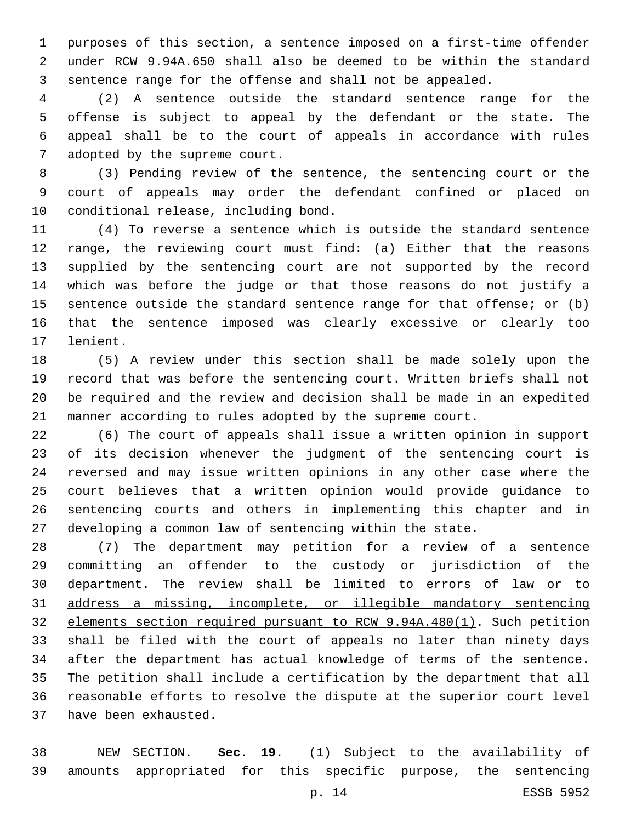purposes of this section, a sentence imposed on a first-time offender under RCW 9.94A.650 shall also be deemed to be within the standard sentence range for the offense and shall not be appealed.

 (2) A sentence outside the standard sentence range for the offense is subject to appeal by the defendant or the state. The appeal shall be to the court of appeals in accordance with rules 7 adopted by the supreme court.

 (3) Pending review of the sentence, the sentencing court or the court of appeals may order the defendant confined or placed on 10 conditional release, including bond.

 (4) To reverse a sentence which is outside the standard sentence range, the reviewing court must find: (a) Either that the reasons supplied by the sentencing court are not supported by the record which was before the judge or that those reasons do not justify a sentence outside the standard sentence range for that offense; or (b) that the sentence imposed was clearly excessive or clearly too 17 lenient.

 (5) A review under this section shall be made solely upon the record that was before the sentencing court. Written briefs shall not be required and the review and decision shall be made in an expedited manner according to rules adopted by the supreme court.

 (6) The court of appeals shall issue a written opinion in support of its decision whenever the judgment of the sentencing court is reversed and may issue written opinions in any other case where the court believes that a written opinion would provide guidance to sentencing courts and others in implementing this chapter and in developing a common law of sentencing within the state.

 (7) The department may petition for a review of a sentence committing an offender to the custody or jurisdiction of the 30 department. The review shall be limited to errors of law or to address a missing, incomplete, or illegible mandatory sentencing elements section required pursuant to RCW 9.94A.480(1). Such petition shall be filed with the court of appeals no later than ninety days after the department has actual knowledge of terms of the sentence. The petition shall include a certification by the department that all reasonable efforts to resolve the dispute at the superior court level 37 have been exhausted.

 NEW SECTION. **Sec. 19.** (1) Subject to the availability of amounts appropriated for this specific purpose, the sentencing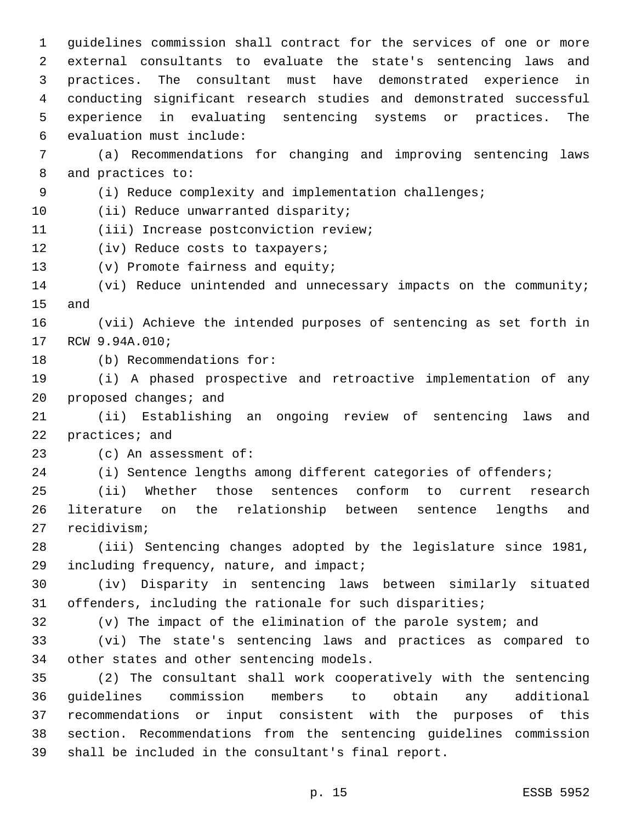1 guidelines commission shall contract for the services of one or more 2 external consultants to evaluate the state's sentencing laws and 3 practices. The consultant must have demonstrated experience in 4 conducting significant research studies and demonstrated successful 5 experience in evaluating sentencing systems or practices. The evaluation must include:6 7 (a) Recommendations for changing and improving sentencing laws 8 and practices to: 9 (i) Reduce complexity and implementation challenges; 10 (ii) Reduce unwarranted disparity; 11 (iii) Increase postconviction review; 12 (iv) Reduce costs to taxpayers; 13 (v) Promote fairness and equity; 14 (vi) Reduce unintended and unnecessary impacts on the community; 15 and 16 (vii) Achieve the intended purposes of sentencing as set forth in 17 RCW 9.94A.010; 18 (b) Recommendations for: 19 (i) A phased prospective and retroactive implementation of any 20 proposed changes; and 21 (ii) Establishing an ongoing review of sentencing laws and 22 practices; and 23 (c) An assessment of: 24 (i) Sentence lengths among different categories of offenders; 25 (ii) Whether those sentences conform to current research 26 literature on the relationship between sentence lengths and 27 recidivism; 28 (iii) Sentencing changes adopted by the legislature since 1981, 29 including frequency, nature, and impact; 30 (iv) Disparity in sentencing laws between similarly situated 31 offenders, including the rationale for such disparities;

32 (v) The impact of the elimination of the parole system; and

33 (vi) The state's sentencing laws and practices as compared to 34 other states and other sentencing models.

 (2) The consultant shall work cooperatively with the sentencing guidelines commission members to obtain any additional recommendations or input consistent with the purposes of this section. Recommendations from the sentencing guidelines commission shall be included in the consultant's final report.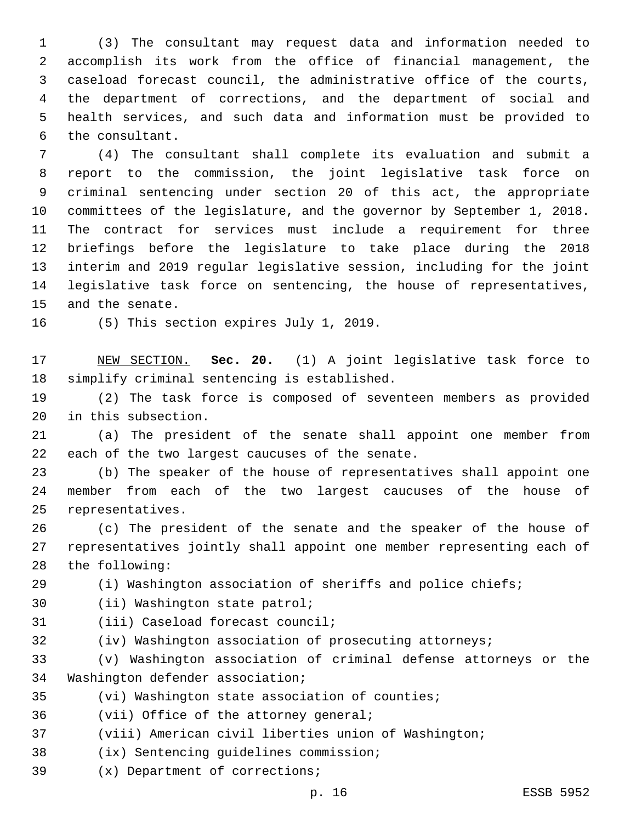(3) The consultant may request data and information needed to accomplish its work from the office of financial management, the caseload forecast council, the administrative office of the courts, the department of corrections, and the department of social and health services, and such data and information must be provided to 6 the consultant.

 (4) The consultant shall complete its evaluation and submit a report to the commission, the joint legislative task force on criminal sentencing under section 20 of this act, the appropriate committees of the legislature, and the governor by September 1, 2018. The contract for services must include a requirement for three briefings before the legislature to take place during the 2018 interim and 2019 regular legislative session, including for the joint legislative task force on sentencing, the house of representatives, 15 and the senate.

16 (5) This section expires July 1, 2019.

 NEW SECTION. **Sec. 20.** (1) A joint legislative task force to simplify criminal sentencing is established.

 (2) The task force is composed of seventeen members as provided 20 in this subsection.

 (a) The president of the senate shall appoint one member from 22 each of the two largest caucuses of the senate.

 (b) The speaker of the house of representatives shall appoint one member from each of the two largest caucuses of the house of 25 representatives.

 (c) The president of the senate and the speaker of the house of representatives jointly shall appoint one member representing each of 28 the following:

(i) Washington association of sheriffs and police chiefs;

30 (ii) Washington state patrol;

- 31 (iii) Caseload forecast council;
- 

(iv) Washington association of prosecuting attorneys;

 (v) Washington association of criminal defense attorneys or the 34 Washington defender association;

(vi) Washington state association of counties;

36 (vii) Office of the attorney general;

(viii) American civil liberties union of Washington;

38 (ix) Sentencing guidelines commission;

(x) Department of corrections;39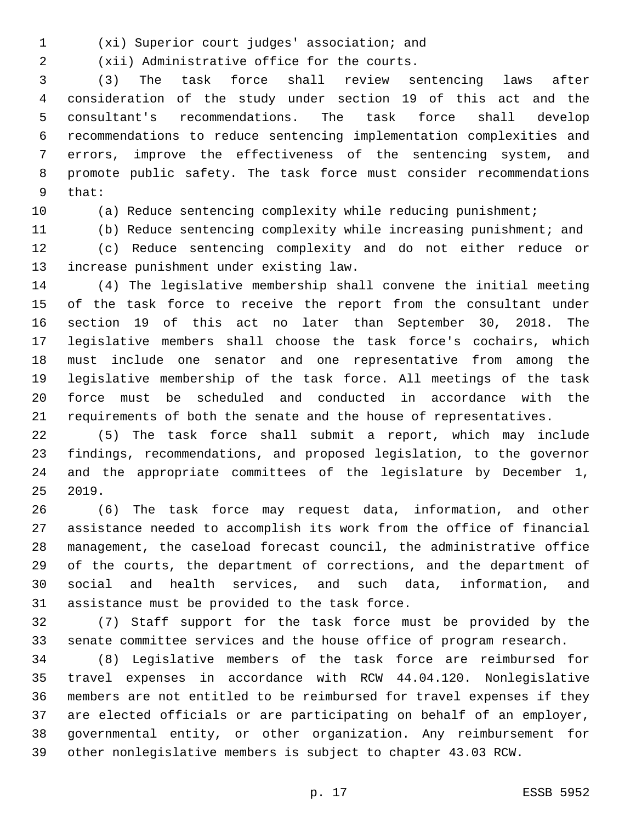(xi) Superior court judges' association; and1

(xii) Administrative office for the courts.2

 (3) The task force shall review sentencing laws after consideration of the study under section 19 of this act and the consultant's recommendations. The task force shall develop recommendations to reduce sentencing implementation complexities and errors, improve the effectiveness of the sentencing system, and promote public safety. The task force must consider recommendations 9 that:

10 (a) Reduce sentencing complexity while reducing punishment;

(b) Reduce sentencing complexity while increasing punishment; and

 (c) Reduce sentencing complexity and do not either reduce or 13 increase punishment under existing law.

 (4) The legislative membership shall convene the initial meeting of the task force to receive the report from the consultant under section 19 of this act no later than September 30, 2018. The legislative members shall choose the task force's cochairs, which must include one senator and one representative from among the legislative membership of the task force. All meetings of the task force must be scheduled and conducted in accordance with the requirements of both the senate and the house of representatives.

 (5) The task force shall submit a report, which may include findings, recommendations, and proposed legislation, to the governor and the appropriate committees of the legislature by December 1, 2019.

 (6) The task force may request data, information, and other assistance needed to accomplish its work from the office of financial management, the caseload forecast council, the administrative office of the courts, the department of corrections, and the department of social and health services, and such data, information, and 31 assistance must be provided to the task force.

 (7) Staff support for the task force must be provided by the senate committee services and the house office of program research.

 (8) Legislative members of the task force are reimbursed for travel expenses in accordance with RCW 44.04.120. Nonlegislative members are not entitled to be reimbursed for travel expenses if they are elected officials or are participating on behalf of an employer, governmental entity, or other organization. Any reimbursement for other nonlegislative members is subject to chapter 43.03 RCW.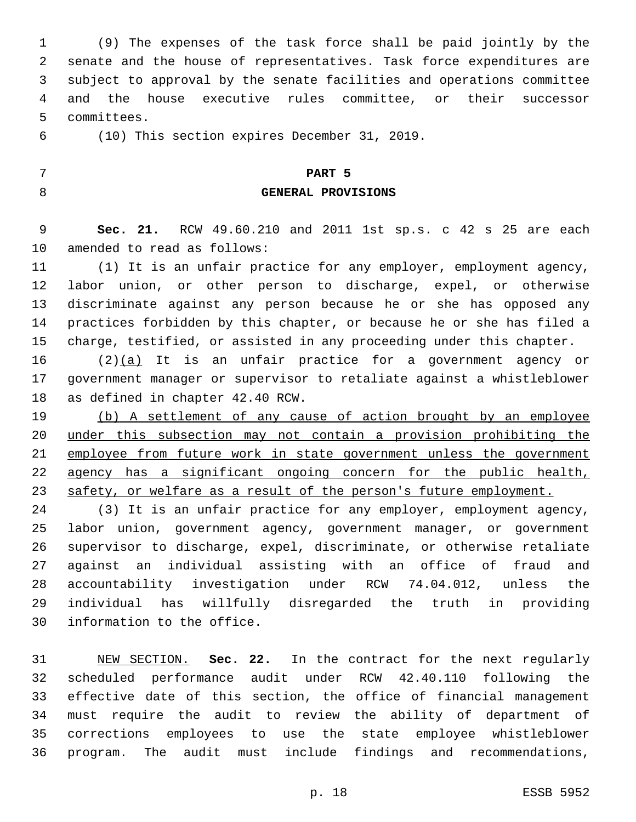(9) The expenses of the task force shall be paid jointly by the senate and the house of representatives. Task force expenditures are subject to approval by the senate facilities and operations committee and the house executive rules committee, or their successor 5 committees.

6 (10) This section expires December 31, 2019.

#### **PART 5**

#### **GENERAL PROVISIONS**

 **Sec. 21.** RCW 49.60.210 and 2011 1st sp.s. c 42 s 25 are each 10 amended to read as follows:

 (1) It is an unfair practice for any employer, employment agency, labor union, or other person to discharge, expel, or otherwise discriminate against any person because he or she has opposed any practices forbidden by this chapter, or because he or she has filed a charge, testified, or assisted in any proceeding under this chapter.

 (2)(a) It is an unfair practice for a government agency or government manager or supervisor to retaliate against a whistleblower 18 as defined in chapter 42.40 RCW.

 (b) A settlement of any cause of action brought by an employee under this subsection may not contain a provision prohibiting the 21 employee from future work in state government unless the government agency has a significant ongoing concern for the public health, 23 safety, or welfare as a result of the person's future employment.

 (3) It is an unfair practice for any employer, employment agency, labor union, government agency, government manager, or government supervisor to discharge, expel, discriminate, or otherwise retaliate against an individual assisting with an office of fraud and accountability investigation under RCW 74.04.012, unless the individual has willfully disregarded the truth in providing 30 information to the office.

 NEW SECTION. **Sec. 22.** In the contract for the next regularly scheduled performance audit under RCW 42.40.110 following the effective date of this section, the office of financial management must require the audit to review the ability of department of corrections employees to use the state employee whistleblower program. The audit must include findings and recommendations,